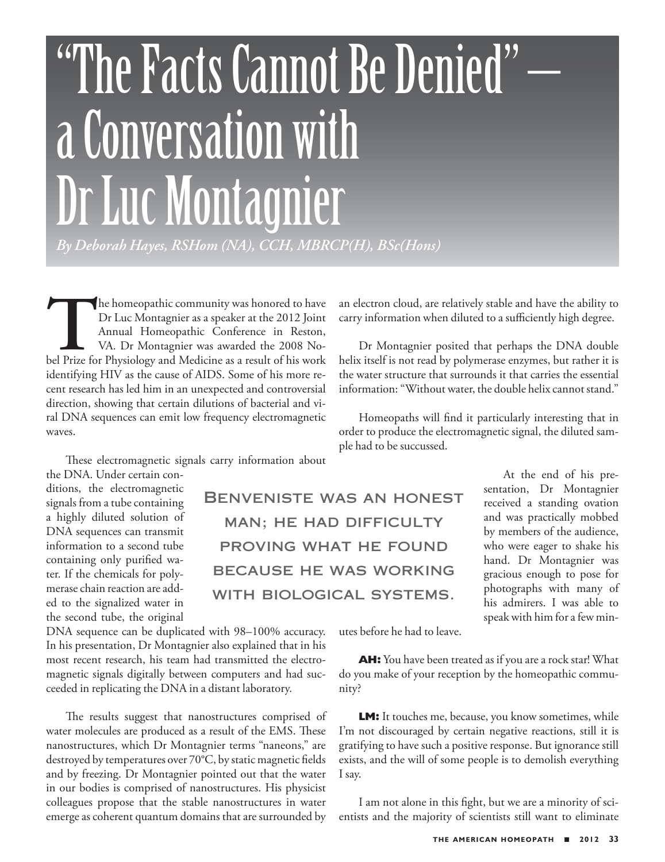## "The Facts Cannot Be Denied" – a Conversation with Dr Luc Montagnier *By Deborah Hayes, RSHom (NA), CCH, MBRCP(H), BSc(Hons)*

The homeopathic community was honored to have<br>
Dr Luc Montagnier as a speaker at the 2012 Joint<br>
Annual Homeopathic Conference in Reston,<br>
VA. Dr Montagnier was awarded the 2008 No-<br>
bel Prize for Physiology and Medicine a Dr Luc Montagnier as a speaker at the 2012 Joint Annual Homeopathic Conference in Reston, VA. Dr Montagnier was awarded the 2008 Noidentifying HIV as the cause of AIDS. Some of his more recent research has led him in an unexpected and controversial direction, showing that certain dilutions of bacterial and viral DNA sequences can emit low frequency electromagnetic waves.

These electromagnetic signals carry information about

the DNA. Under certain conditions, the electromagnetic signals from a tube containing a highly diluted solution of DNA sequences can transmit information to a second tube containing only purified water. If the chemicals for polymerase chain reaction are added to the signalized water in the second tube, the original

DNA sequence can be duplicated with 98–100% accuracy. In his presentation, Dr Montagnier also explained that in his most recent research, his team had transmitted the electromagnetic signals digitally between computers and had succeeded in replicating the DNA in a distant laboratory.

The results suggest that nanostructures comprised of water molecules are produced as a result of the EMS. These nanostructures, which Dr Montagnier terms "naneons," are destroyed by temperatures over 70°C, by static magnetic fields and by freezing. Dr Montagnier pointed out that the water in our bodies is comprised of nanostructures. His physicist colleagues propose that the stable nanostructures in water emerge as coherent quantum domains that are surrounded by

an electron cloud, are relatively stable and have the ability to carry information when diluted to a sufficiently high degree.

Dr Montagnier posited that perhaps the DNA double helix itself is not read by polymerase enzymes, but rather it is the water structure that surrounds it that carries the essential information: "Without water, the double helix cannot stand."

Homeopaths will find it particularly interesting that in order to produce the electromagnetic signal, the diluted sample had to be succussed.

> At the end of his presentation, Dr Montagnier received a standing ovation and was practically mobbed by members of the audience, who were eager to shake his hand. Dr Montagnier was gracious enough to pose for photographs with many of his admirers. I was able to speak with him for a few min-

utes before he had to leave.

Benveniste was an honest

man; he had difficulty

proving what he found

because he was working

with biological systems.

**AH:** You have been treated as if you are a rock star! What do you make of your reception by the homeopathic community?

**LM:** It touches me, because, you know sometimes, while I'm not discouraged by certain negative reactions, still it is gratifying to have such a positive response. But ignorance still exists, and the will of some people is to demolish everything I say.

I am not alone in this fight, but we are a minority of scientists and the majority of scientists still want to eliminate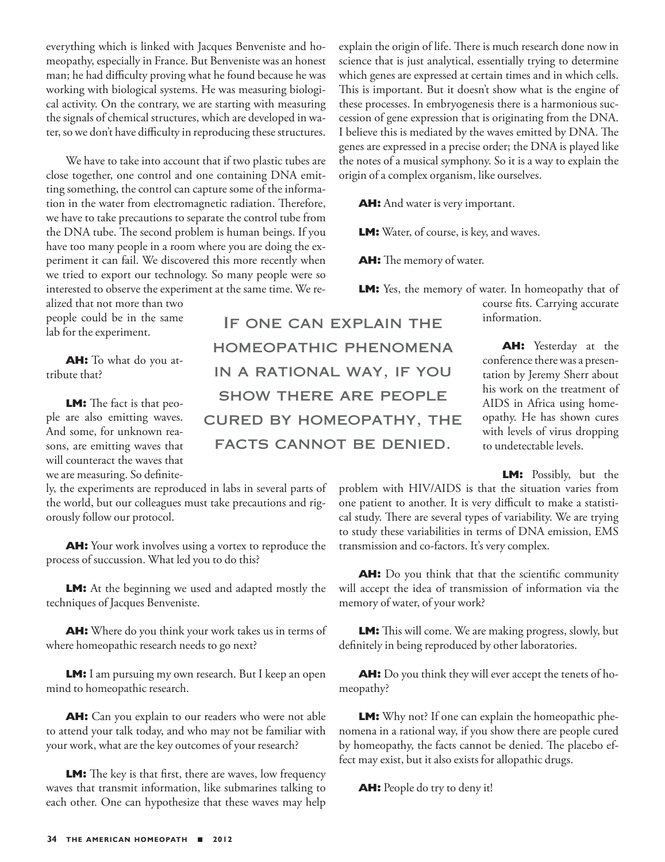everything which is linked with Jacques Benveniste and homeopathy, especially in France. But Benveniste was an honest man; he had difficulty proving what he found because he was working with biological systems. He was measuring biological activity. On the contrary, we are starting with measuring the signals of chemical structures, which are developed in water, so we don't have difficulty in reproducing these structures.

We have to take into account that if two plastic tubes are close together, one control and one containing DNA emitting something, the control can capture some of the information in the water from electromagnetic radiation. Therefore, we have to take precautions to separate the control tube from the DNA tube. The second problem is human beings. If you have too many people in a room where you are doing the experiment it can fail. We discovered this more recently when we tried to export our technology. So many people were so interested to observe the experiment at the same time. We re-

alized that not more than two people could be in the same lab for the experiment.

**AH:** To what do you attribute that?

**LM:** The fact is that people are also emitting waves. And some, for unknown reasons, are emitting waves that will counteract the waves that we are measuring. So definite-

ly, the experiments are reproduced in labs in several parts of the world, but our colleagues must take precautions and rigorously follow our protocol.

**AH:** Your work involves using a vortex to reproduce the process of succussion. What led you to do this?

**LM:** At the beginning we used and adapted mostly the techniques of Jacques Benveniste.

**AH:** Where do you think your work takes us in terms of where homeopathic research needs to go next?

**LM:** I am pursuing my own research. But I keep an open mind to homeopathic research.

**AH:** Can you explain to our readers who were not able to attend your talk today, and who may not be familiar with your work, what are the key outcomes of your research?

**LM:** The key is that first, there are waves, low frequency waves that transmit information, like submarines talking to each other. One can hypothesize that these waves may help

If one can explain the homeopathic phenomena in a rational way, if you show there are people cured by homeopathy, the facts cannot be denied.

explain the origin of life. There is much research done now in science that is just analytical, essentially trying to determine which genes are expressed at certain times and in which cells. This is important. But it doesn't show what is the engine of these processes. In embryogenesis there is a harmonious succession of gene expression that is originating from the DNA. I believe this is mediated by the waves emitted by DNA. The genes are expressed in a precise order; the DNA is played like the notes of a musical symphony. So it is a way to explain the origin of a complex organism, like ourselves.

**AH:** And water is very important.

**LM:** Water, of course, is key, and waves.

**AH:** The memory of water.

**LM:** Yes, the memory of water. In homeopathy that of course fits. Carrying accurate information.

> **AH:** Yesterday at the conference there was a presentation by Jeremy Sherr about his work on the treatment of AIDS in Africa using homeopathy. He has shown cures with levels of virus dropping to undetectable levels.

> > **LM:** Possibly, but the

problem with HIV/AIDS is that the situation varies from one patient to another. It is very difficult to make a statistical study. There are several types of variability. We are trying to study these variabilities in terms of DNA emission, EMS transmission and co-factors. It's very complex.

**AH:** Do you think that that the scientific community will accept the idea of transmission of information via the memory of water, of your work?

**LM:** This will come. We are making progress, slowly, but definitely in being reproduced by other laboratories.

**AH:** Do you think they will ever accept the tenets of homeopathy?

**LM:** Why not? If one can explain the homeopathic phenomena in a rational way, if you show there are people cured by homeopathy, the facts cannot be denied. The placebo effect may exist, but it also exists for allopathic drugs.

**AH:** People do try to deny it!